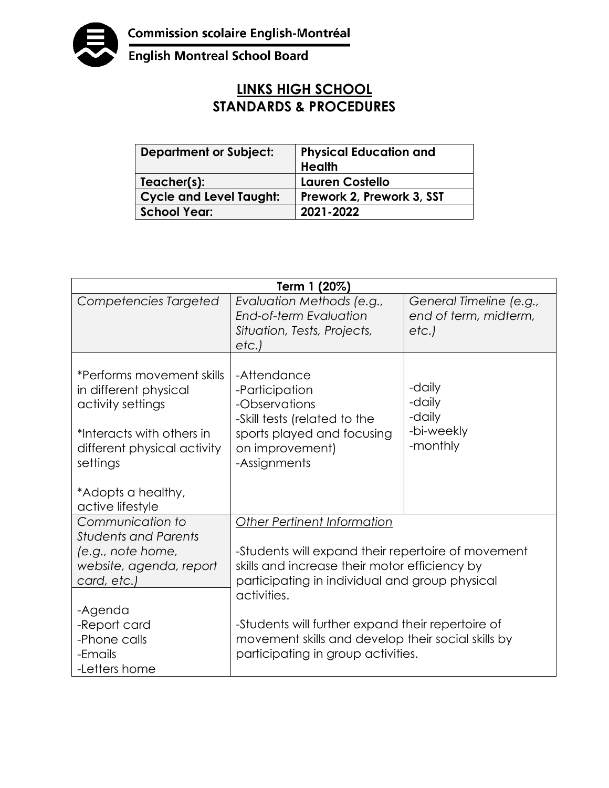

English Montreal School Board

## **LINKS HIGH SCHOOL STANDARDS & PROCEDURES**

| <b>Department or Subject:</b>  | <b>Physical Education and</b><br><b>Health</b> |
|--------------------------------|------------------------------------------------|
| Teacher(s):                    | Lauren Costello                                |
| <b>Cycle and Level Taught:</b> | Prework 2, Prework 3, SST                      |
| <b>School Year:</b>            | 2021-2022                                      |

| Term 1 (20%)                                                                                                                                    |                                                                                                                                                                      |                                                          |  |  |
|-------------------------------------------------------------------------------------------------------------------------------------------------|----------------------------------------------------------------------------------------------------------------------------------------------------------------------|----------------------------------------------------------|--|--|
| Competencies Targeted                                                                                                                           | Evaluation Methods (e.g.,<br>End-of-term Evaluation<br>Situation, Tests, Projects,<br>etc.                                                                           | General Timeline (e.g.,<br>end of term, midterm,<br>etc. |  |  |
| *Performs movement skills<br>in different physical<br>activity settings<br>*Interacts with others in<br>different physical activity<br>settings | -Attendance<br>-Participation<br>-Observations<br>-Skill tests (related to the<br>sports played and focusing<br>on improvement)<br>-Assignments                      | -daily<br>-daily<br>-daily<br>-bi-weekly<br>-monthly     |  |  |
| *Adopts a healthy,<br>active lifestyle                                                                                                          |                                                                                                                                                                      |                                                          |  |  |
| Communication to<br><b>Students and Parents</b>                                                                                                 | <b>Other Pertinent Information</b>                                                                                                                                   |                                                          |  |  |
| (e.g., note home,<br>website, agenda, report<br>card, etc.)                                                                                     | -Students will expand their repertoire of movement<br>skills and increase their motor efficiency by<br>participating in individual and group physical<br>activities. |                                                          |  |  |
| -Agenda<br>-Report card<br>-Phone calls<br>-Emails<br>-Letters home                                                                             | -Students will further expand their repertoire of<br>movement skills and develop their social skills by<br>participating in group activities.                        |                                                          |  |  |